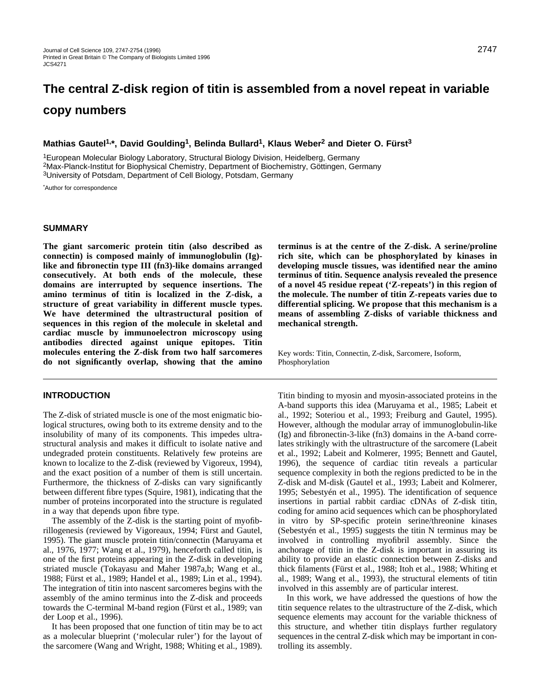# **The central Z-disk region of titin is assembled from a novel repeat in variable copy numbers**

#### **Mathias Gautel1,\*, David Goulding1, Belinda Bullard1, Klaus Weber2 and Dieter O. Fürst3**

1European Molecular Biology Laboratory, Structural Biology Division, Heidelberg, Germany 2Max-Planck-Institut for Biophysical Chemistry, Department of Biochemistry, Göttingen, Germany 3University of Potsdam, Department of Cell Biology, Potsdam, Germany

\* Author for correspondence

#### **SUMMARY**

**The giant sarcomeric protein titin (also described as connectin) is composed mainly of immunoglobulin (Ig) like and fibronectin type III (fn3)-like domains arranged consecutively. At both ends of the molecule, these domains are interrupted by sequence insertions. The amino terminus of titin is localized in the Z-disk, a structure of great variability in different muscle types. We have determined the ultrastructural position of sequences in this region of the molecule in skeletal and cardiac muscle by immunoelectron microscopy using antibodies directed against unique epitopes. Titin molecules entering the Z-disk from two half sarcomeres do not significantly overlap, showing that the amino**

#### **INTRODUCTION**

The Z-disk of striated muscle is one of the most enigmatic biological structures, owing both to its extreme density and to the insolubility of many of its components. This impedes ultrastructural analysis and makes it difficult to isolate native and undegraded protein constituents. Relatively few proteins are known to localize to the Z-disk (reviewed by Vigoreux, 1994), and the exact position of a number of them is still uncertain. Furthermore, the thickness of Z-disks can vary significantly between different fibre types (Squire, 1981), indicating that the number of proteins incorporated into the structure is regulated in a way that depends upon fibre type.

The assembly of the Z-disk is the starting point of myofibrillogenesis (reviewed by Vigoreaux, 1994; Fürst and Gautel, 1995). The giant muscle protein titin/connectin (Maruyama et al., 1976, 1977; Wang et al., 1979), henceforth called titin, is one of the first proteins appearing in the Z-disk in developing striated muscle (Tokayasu and Maher 1987a,b; Wang et al., 1988; Fürst et al., 1989; Handel et al., 1989; Lin et al., 1994). The integration of titin into nascent sarcomeres begins with the assembly of the amino terminus into the Z-disk and proceeds towards the C-terminal M-band region (Fürst et al., 1989; van der Loop et al., 1996).

It has been proposed that one function of titin may be to act as a molecular blueprint ('molecular ruler') for the layout of the sarcomere (Wang and Wright, 1988; Whiting et al., 1989). **terminus is at the centre of the Z-disk. A serine/proline rich site, which can be phosphorylated by kinases in developing muscle tissues, was identified near the amino terminus of titin. Sequence analysis revealed the presence of a novel 45 residue repeat ('Z-repeats') in this region of the molecule. The number of titin Z-repeats varies due to differential splicing. We propose that this mechanism is a means of assembling Z-disks of variable thickness and mechanical strength.**

Key words: Titin, Connectin, Z-disk, Sarcomere, Isoform, Phosphorylation

Titin binding to myosin and myosin-associated proteins in the A-band supports this idea (Maruyama et al., 1985; Labeit et al., 1992; Soteriou et al., 1993; Freiburg and Gautel, 1995). However, although the modular array of immunoglobulin-like (Ig) and fibronectin-3-like (fn3) domains in the A-band correlates strikingly with the ultrastructure of the sarcomere (Labeit et al., 1992; Labeit and Kolmerer, 1995; Bennett and Gautel, 1996), the sequence of cardiac titin reveals a particular sequence complexity in both the regions predicted to be in the Z-disk and M-disk (Gautel et al., 1993; Labeit and Kolmerer, 1995; Sebestyén et al., 1995). The identification of sequence insertions in partial rabbit cardiac cDNAs of Z-disk titin, coding for amino acid sequences which can be phosphorylated in vitro by SP-specific protein serine/threonine kinases (Sebestyén et al., 1995) suggests the titin N terminus may be involved in controlling myofibril assembly. Since the anchorage of titin in the Z-disk is important in assuring its ability to provide an elastic connection between Z-disks and thick filaments (Fürst et al., 1988; Itoh et al., 1988; Whiting et al., 1989; Wang et al., 1993), the structural elements of titin involved in this assembly are of particular interest.

In this work, we have addressed the questions of how the titin sequence relates to the ultrastructure of the Z-disk, which sequence elements may account for the variable thickness of this structure, and whether titin displays further regulatory sequences in the central Z-disk which may be important in controlling its assembly.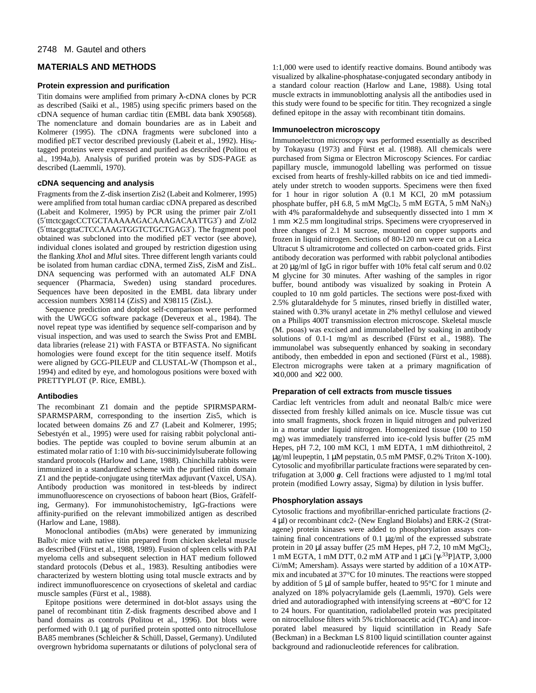#### 2748 M. Gautel and others

# **MATERIALS AND METHODS**

#### **Protein expression and purification**

Titin domains were amplified from primary λ-cDNA clones by PCR as described (Saiki et al., 1985) using specific primers based on the cDNA sequence of human cardiac titin (EMBL data bank X90568). The nomenclature and domain boundaries are as in Labeit and Kolmerer (1995). The cDNA fragments were subcloned into a modified pET vector described previously (Labeit et al., 1992). His<sub>6</sub>tagged proteins were expressed and purified as described (Politou et al., 1994a,b). Analysis of purified protein was by SDS-PAGE as described (Laemmli, 1970).

#### **cDNA sequencing and analysis**

Fragments from the Z-disk insertion Zis2 (Labeit and Kolmerer, 1995) were amplified from total human cardiac cDNA prepared as described (Labeit and Kolmerer, 1995) by PCR using the primer pair Z/ol1 (5′tttctcgagcCCTGCTAAAAAGACAAAGACAATTG3′) and Z/ol2 (5′tttacgcgttaCTCCAAAGTGGTCTGCTGAG3′). The fragment pool obtained was subcloned into the modified pET vector (see above), individual clones isolated and grouped by restriction digestion using the flanking *Xho*I and *Mlu*I sites. Three different length variants could be isolated from human cardiac cDNA, termed ZisS, ZisM and ZisL. DNA sequencing was performed with an automated ALF DNA sequencer (Pharmacia, Sweden) using standard procedures. Sequences have been deposited in the EMBL data library under accession numbers X98114 (ZisS) and X98115 (ZisL).

Sequence prediction and dotplot self-comparison were performed with the UWGCG software package (Devereux et al., 1984). The novel repeat type was identified by sequence self-comparison and by visual inspection, and was used to search the Swiss Prot and EMBL data libraries (release 21) with FASTA or BTFASTA. No significant homologies were found except for the titin sequence itself. Motifs were aligned by GCG-PILEUP and CLUSTAL-W (Thompson et al., 1994) and edited by eye, and homologous positions were boxed with PRETTYPLOT (P. Rice, EMBL).

#### **Antibodies**

The recombinant Z1 domain and the peptide SPIRMSPARM-SPARMSPARM, corresponding to the insertion Zis5, which is located between domains Z6 and Z7 (Labeit and Kolmerer, 1995; Sebestyén et al., 1995) were used for raising rabbit polyclonal antibodies. The peptide was coupled to bovine serum albumin at an estimated molar ratio of 1:10 with *bis*-succinimidylsuberate following standard protocols (Harlow and Lane, 1988). Chinchilla rabbits were immunized in a standardized scheme with the purified titin domain Z1 and the peptide-conjugate using titerMax adjuvant (Vaxcel, USA). Antibody production was monitored in test-bleeds by indirect immunofluorescence on cryosections of baboon heart (Bios, Gräfelfing, Germany). For immunohistochemistry, IgG-fractions were affinity-purified on the relevant immobilized antigen as described (Harlow and Lane, 1988).

Monoclonal antibodies (mAbs) were generated by immunizing Balb/c mice with native titin prepared from chicken skeletal muscle as described (Fürst et al., 1988, 1989). Fusion of spleen cells with PAI myeloma cells and subsequent selection in HAT medium followed standard protocols (Debus et al., 1983). Resulting antibodies were characterized by western blotting using total muscle extracts and by indirect immunofluorescence on cryosections of skeletal and cardiac muscle samples (Fürst et al., 1988).

Epitope positions were determined in dot-blot assays using the panel of recombinant titin Z-disk fragments described above and I band domains as controls (Politou et al., 1996). Dot blots were performed with 0.1 µg of purified protein spotted onto nitrocellulose BA85 membranes (Schleicher & Schüll, Dassel, Germany). Undiluted overgrown hybridoma supernatants or dilutions of polyclonal sera of

1:1,000 were used to identify reactive domains. Bound antibody was visualized by alkaline-phosphatase-conjugated secondary antibody in a standard colour reaction (Harlow and Lane, 1988). Using total muscle extracts in immunoblotting analysis all the antibodies used in this study were found to be specific for titin. They recognized a single defined epitope in the assay with recombinant titin domains.

#### **Immunoelectron microscopy**

Immunoelectron microscopy was performed essentially as described by Tokayasu (1973) and Fürst et al. (1988). All chemicals were purchased from Sigma or Electron Microscopy Sciences. For cardiac papillary muscle, immunogold labelling was performed on tissue excised from hearts of freshly-killed rabbits on ice and tied immediately under stretch to wooden supports. Specimens were then fixed for 1 hour in rigor solution A (0.1 M KCl, 20 mM potassium phosphate buffer, pH 6.8, 5 mM MgCl2, 5 mM EGTA, 5 mM NaN3) with 4% paraformaldehyde and subsequently dissected into  $1 \text{ mm} \times$  $1 \text{ mm} \times 2.5 \text{ mm}$  longitudinal strips. Specimens were cryopreserved in three changes of 2.1 M sucrose, mounted on copper supports and frozen in liquid nitrogen. Sections of 80-120 nm were cut on a Leica Ultracut S ultramicrotome and collected on carbon-coated grids. First antibody decoration was performed with rabbit polyclonal antibodies at 20 µg/ml of IgG in rigor buffer with 10% fetal calf serum and 0.02 M glycine for 30 minutes. After washing of the samples in rigor buffer, bound antibody was visualized by soaking in Protein A coupled to 10 nm gold particles. The sections were post-fixed with 2.5% glutaraldehyde for 5 minutes, rinsed briefly in distilled water, stained with 0.3% uranyl acetate in 2% methyl cellulose and viewed on a Philips 400T transmission electron microscope. Skeletal muscle (M. psoas) was excised and immunolabelled by soaking in antibody solutions of 0.1-1 mg/ml as described (Fürst et al., 1988). The immunolabel was subsequently enhanced by soaking in secondary antibody, then embedded in epon and sectioned (Fürst et al., 1988). Electron micrographs were taken at a primary magnification of  $\times 10,000$  and  $\times 22,000$ .

#### **Preparation of cell extracts from muscle tissues**

Cardiac left ventricles from adult and neonatal Balb/c mice were dissected from freshly killed animals on ice. Muscle tissue was cut into small fragments, shock frozen in liquid nitrogen and pulverized in a mortar under liquid nitrogen. Homogenized tissue (100 to 150 mg) was immediately transferred into ice-cold lysis buffer (25 mM Hepes, pH 7.2, 100 mM KCl, 1 mM EDTA, 1 mM dithiothreitol, 2 µg/ml leupeptin, 1 µM pepstatin, 0.5 mM PMSF, 0.2% Triton X-100). Cytosolic and myofibrillar particulate fractions were separated by centrifugation at 3,000 *g*. Cell fractions were adjusted to 1 mg/ml total protein (modified Lowry assay, Sigma) by dilution in lysis buffer.

#### **Phosphorylation assays**

Cytosolic fractions and myofibrillar-enriched particulate fractions (2- 4 µl) or recombinant cdc2- (New England Biolabs) and ERK-2 (Stratagene) protein kinases were added to phosphorylation assays containing final concentrations of 0.1 µg/ml of the expressed substrate protein in 20 µl assay buffer (25 mM Hepes, pH 7.2, 10 mM MgCl<sub>2</sub>, 1 mM EGTA, 1 mM DTT, 0.2 mM ATP and 1 µCi [γ-33P]ATP, 3,000  $Ci/mM$ ; Amersham). Assays were started by addition of a  $10\times$  ATPmix and incubated at 37°C for 10 minutes. The reactions were stopped by addition of 5 µl of sample buffer, heated to 95°C for 1 minute and analyzed on 18% polyacrylamide gels (Laemmli, 1970). Gels were dried and autoradiographed with intensifying screens at −80°C for 12 to 24 hours. For quantitation, radiolabelled protein was precipitated on nitrocellulose filters with 5% trichloroacetic acid (TCA) and incorporated label measured by liquid scintillation in Ready Safe (Beckman) in a Beckman LS 8100 liquid scintillation counter against background and radionucleotide references for calibration.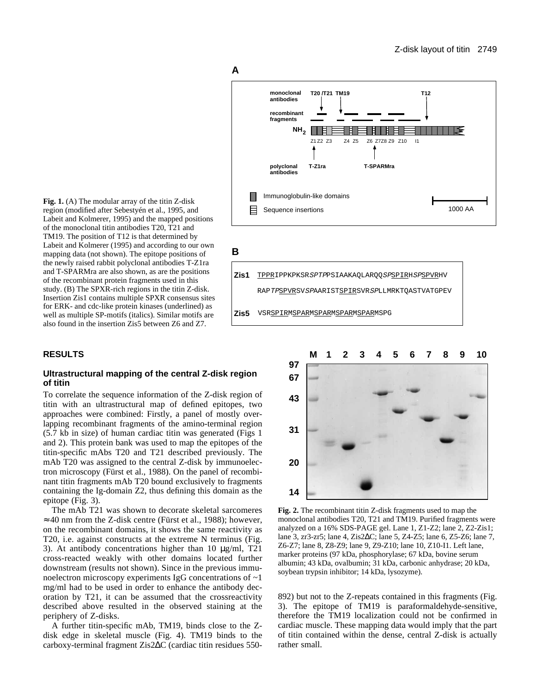

Labeit and Kolmerer, 1995) and the mapped positions of the monoclonal titin antibodies T20, T21 and TM19. The position of T12 is that determined by Labeit and Kolmerer (1995) and according to our own mapping data (not shown). The epitope positions of the newly raised rabbit polyclonal antibodies T-Z1ra and T-SPARMra are also shown, as are the positions of the recombinant protein fragments used in this study. (B) The SPXR-rich regions in the titin Z-disk. Insertion Zis1 contains multiple SPXR consensus sites for ERK- and cdc-like protein kinases (underlined) as well as multiple SP-motifs (italics). Similar motifs are also found in the insertion Zis5 between Z6 and Z7.

**Fig. 1.** (A) The modular array of the titin Z-disk region (modified after Sebestyén et al., 1995, and

# **RESULTS**

#### **Ultrastructural mapping of the central Z-disk region of titin**

To correlate the sequence information of the Z-disk region of titin with an ultrastructural map of defined epitopes, two approaches were combined: Firstly, a panel of mostly overlapping recombinant fragments of the amino-terminal region (5.7 kb in size) of human cardiac titin was generated (Figs 1 and 2). This protein bank was used to map the epitopes of the titin-specific mAbs T20 and T21 described previously. The mAb T20 was assigned to the central Z-disk by immunoelectron microscopy (Fürst et al., 1988). On the panel of recombinant titin fragments mAb T20 bound exclusively to fragments containing the Ig-domain Z2, thus defining this domain as the epitope (Fig. 3).

The mAb T21 was shown to decorate skeletal sarcomeres  $\approx$  40 nm from the Z-disk centre (Fürst et al., 1988); however, on the recombinant domains, it shows the same reactivity as T20, i.e. against constructs at the extreme N terminus (Fig. 3). At antibody concentrations higher than 10 µg/ml, T21 cross-reacted weakly with other domains located further downstream (results not shown). Since in the previous immunoelectron microscopy experiments IgG concentrations of ~1 mg/ml had to be used in order to enhance the antibody decoration by T21, it can be assumed that the crossreactivity described above resulted in the observed staining at the periphery of Z-disks.

A further titin-specific mAb, TM19, binds close to the Zdisk edge in skeletal muscle (Fig. 4). TM19 binds to the carboxy-terminal fragment Zis2∆C (cardiac titin residues 550-



**A**





**Fig. 2.** The recombinant titin Z-disk fragments used to map the monoclonal antibodies T20, T21 and TM19. Purified fragments were analyzed on a 16% SDS-PAGE gel. Lane 1, Z1-Z2; lane 2, Z2-Zis1; lane 3, zr3-zr5; lane 4, Zis2∆C; lane 5, Z4-Z5; lane 6, Z5-Z6; lane 7, Z6-Z7; lane 8, Z8-Z9; lane 9, Z9-Z10; lane 10, Z10-I1. Left lane, marker proteins (97 kDa, phosphorylase; 67 kDa, bovine serum albumin; 43 kDa, ovalbumin; 31 kDa, carbonic anhydrase; 20 kDa, soybean trypsin inhibitor; 14 kDa, lysozyme).

892) but not to the Z-repeats contained in this fragments (Fig. 3). The epitope of TM19 is paraformaldehyde-sensitive, therefore the TM19 localization could not be confirmed in cardiac muscle. These mapping data would imply that the part of titin contained within the dense, central Z-disk is actually rather small.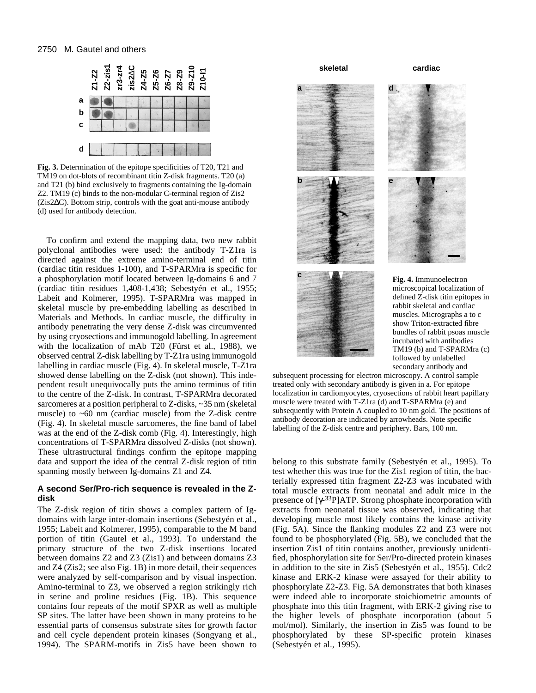

**Fig. 3.** Determination of the epitope specificities of T20, T21 and TM19 on dot-blots of recombinant titin Z-disk fragments. T20 (a) and T21 (b) bind exclusively to fragments containing the Ig-domain Z2. TM19 (c) binds to the non-modular C-terminal region of Zis2 (Zis2∆C). Bottom strip, controls with the goat anti-mouse antibody (d) used for antibody detection.

To confirm and extend the mapping data, two new rabbit polyclonal antibodies were used: the antibody T-Z1ra is directed against the extreme amino-terminal end of titin (cardiac titin residues 1-100), and T-SPARMra is specific for a phosphorylation motif located between Ig-domains 6 and 7 (cardiac titin residues 1,408-1,438; Sebestyén et al., 1955; Labeit and Kolmerer, 1995). T-SPARMra was mapped in skeletal muscle by pre-embedding labelling as described in Materials and Methods. In cardiac muscle, the difficulty in antibody penetrating the very dense Z-disk was circumvented by using cryosections and immunogold labelling. In agreement with the localization of mAb T20 (Fürst et al., 1988), we observed central Z-disk labelling by T-Z1ra using immunogold labelling in cardiac muscle (Fig. 4). In skeletal muscle, T-Z1ra showed dense labelling on the Z-disk (not shown). This independent result unequivocally puts the amino terminus of titin to the centre of the Z-disk. In contrast, T-SPARMra decorated sarcomeres at a position peripheral to Z-disks, ~35 nm (skeletal muscle) to  $~60$  nm (cardiac muscle) from the Z-disk centre (Fig. 4). In skeletal muscle sarcomeres, the fine band of label was at the end of the Z-disk comb (Fig. 4). Interestingly, high concentrations of T-SPARMra dissolved Z-disks (not shown). These ultrastructural findings confirm the epitope mapping data and support the idea of the central Z-disk region of titin spanning mostly between Ig-domains Z1 and Z4.

# **A second Ser/Pro-rich sequence is revealed in the Zdisk**

The Z-disk region of titin shows a complex pattern of Igdomains with large inter-domain insertions (Sebestyén et al., 1955; Labeit and Kolmerer, 1995), comparable to the M band portion of titin (Gautel et al., 1993). To understand the primary structure of the two Z-disk insertions located between domains Z2 and Z3 (Zis1) and between domains Z3 and Z4 (Zis2; see also Fig. 1B) in more detail, their sequences were analyzed by self-comparison and by visual inspection. Amino-terminal to Z3, we observed a region strikingly rich in serine and proline residues (Fig. 1B). This sequence contains four repeats of the motif SPXR as well as multiple SP sites. The latter have been shown in many proteins to be essential parts of consensus substrate sites for growth factor and cell cycle dependent protein kinases (Songyang et al., 1994). The SPARM-motifs in Zis5 have been shown to **skeletal cardiac**

**a**



**<sup>c</sup> Fig. 4.** Immunoelectron microscopical localization of defined Z-disk titin epitopes in rabbit skeletal and cardiac muscles. Micrographs a to c show Triton-extracted fibre bundles of rabbit psoas muscle incubated with antibodies TM19 (b) and T-SPARMra (c) followed by unlabelled secondary antibody and

subsequent processing for electron microscopy. A control sample treated only with secondary antibody is given in a. For epitope localization in cardiomyocytes, cryosections of rabbit heart papillary muscle were treated with T-Z1ra (d) and T-SPARMra (e) and subsequently with Protein A coupled to 10 nm gold. The positions of antibody decoration are indicated by arrowheads. Note specific labelling of the Z-disk centre and periphery. Bars, 100 nm.

belong to this substrate family (Sebestyén et al., 1995). To test whether this was true for the Zis1 region of titin, the bacterially expressed titin fragment Z2-Z3 was incubated with total muscle extracts from neonatal and adult mice in the presence of [γ-33P]ATP. Strong phosphate incorporation with extracts from neonatal tissue was observed, indicating that developing muscle most likely contains the kinase activity (Fig. 5A). Since the flanking modules Z2 and Z3 were not found to be phosphorylated (Fig. 5B), we concluded that the insertion Zis1 of titin contains another, previously unidentified, phosphorylation site for Ser/Pro-directed protein kinases in addition to the site in Zis5 (Sebestyén et al., 1955). Cdc2 kinase and ERK-2 kinase were assayed for their ability to phosphorylate Z2-Z3. Fig. 5A demonstrates that both kinases were indeed able to incorporate stoichiometric amounts of phosphate into this titin fragment, with ERK-2 giving rise to the higher levels of phosphate incorporation (about 5 mol/mol). Similarly, the insertion in Zis5 was found to be phosphorylated by these SP-specific protein kinases (Sebestyén et al., 1995).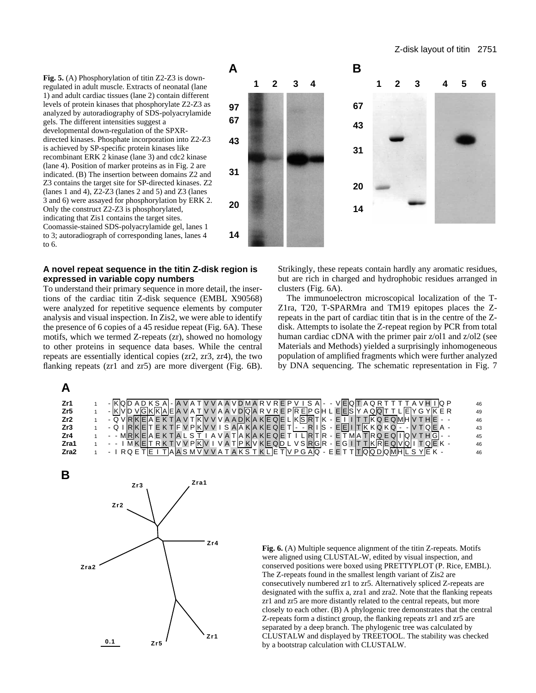**Fig. 5.** (A) Phosphorylation of titin Z2-Z3 is downregulated in adult muscle. Extracts of neonatal (lane 1) and adult cardiac tissues (lane 2) contain different levels of protein kinases that phosphorylate Z2-Z3 as analyzed by autoradiography of SDS-polyacrylamide gels. The different intensities suggest a developmental down-regulation of the SPXRdirected kinases. Phosphate incorporation into Z2-Z3 is achieved by SP-specific protein kinases like recombinant ERK 2 kinase (lane 3) and cdc2 kinase (lane 4). Position of marker proteins as in Fig. 2 are indicated. (B) The insertion between domains Z2 and Z3 contains the target site for SP-directed kinases. Z2 (lanes 1 and 4), Z2-Z3 (lanes 2 and 5) and Z3 (lanes 3 and 6) were assayed for phosphorylation by ERK 2. Only the construct Z2-Z3 is phosphorylated, indicating that Zis1 contains the target sites. Coomassie-stained SDS-polyacrylamide gel, lanes 1 to 3; autoradiograph of corresponding lanes, lanes 4 to 6.



# **A novel repeat sequence in the titin Z-disk region is expressed in variable copy numbers**

To understand their primary sequence in more detail, the insertions of the cardiac titin Z-disk sequence (EMBL X90568) were analyzed for repetitive sequence elements by computer analysis and visual inspection. In Zis2, we were able to identify the presence of 6 copies of a 45 residue repeat (Fig. 6A). These motifs, which we termed Z-repeats (zr), showed no homology to other proteins in sequence data bases. While the central repeats are essentially identical copies (zr2, zr3, zr4), the two flanking repeats (zr1 and zr5) are more divergent (Fig. 6B).

**A**

Strikingly, these repeats contain hardly any aromatic residues, but are rich in charged and hydrophobic residues arranged in clusters (Fig. 6A).

The immunoelectron microscopical localization of the T-Z1ra, T20, T-SPARMra and TM19 epitopes places the Zrepeats in the part of cardiac titin that is in the centre of the Zdisk. Attempts to isolate the Z-repeat region by PCR from total human cardiac cDNA with the primer pair  $z$ /ol1 and  $z$ /ol2 (see Materials and Methods) yielded a surprisingly inhomogeneous population of amplified fragments which were further analyzed by DNA sequencing. The schematic representation in Fig. 7

| Zr1             | - KQD AD K S A - A V A T V V A A V D M A R V R E P V I S A - - V EQT A Q R T T T T A V H I Q P     | 46 |
|-----------------|----------------------------------------------------------------------------------------------------|----|
| Zr5             | - KVD VGKKAEA VATVVAAVDQARVREPREPGHLEESYAQQTTLEYGYKER                                              | 49 |
| Zr <sub>2</sub> | - QVRKEA E K TA V TKV V V A A DKA KE QE LKSRTK - E T I T TK Q E QMHV T HE - -                      | 46 |
| Zr3             | - Q IRKET E K TF V PKV V I S AA KA KE QE T   - - RIS - EEIITK K Q K Q - - V T QE A -               | 43 |
| Zr4             | - - MRKEAEKTALST I A VATAKAKE QET I LRTR - ETMATRQ E QTQIV T H GI - -                              | 45 |
| Zra1            | - - ΙΜΚΕΙΤ R Κ ΤΙV V ΡΙΚΙV Ι V Α ΤΙΡ ΚΙV ΚΙΕ QID L V SIRIGIR - Ε G Ι ΙΤ ΤΙΚΙRΙΕ QIVIQI Ι Τ QIE Κ - | 46 |
| Zra2            | - IRQETEITAASMV V V A T A KS T KLETV P G AQ - E E T T T Q Q D Q M H L S Y E K -                    | 46 |



**Fig. 6.** (A) Multiple sequence alignment of the titin Z-repeats. Motifs were aligned using CLUSTAL-W, edited by visual inspection, and conserved positions were boxed using PRETTYPLOT (P. Rice, EMBL). The Z-repeats found in the smallest length variant of Zis2 are consecutively numbered zr1 to zr5. Alternatively spliced Z-repeats are designated with the suffix a, zra1 and zra2. Note that the flanking repeats zr1 and zr5 are more distantly related to the central repeats, but more closely to each other. (B) A phylogenic tree demonstrates that the central Z-repeats form a distinct group, the flanking repeats zr1 and zr5 are separated by a deep branch. The phylogenic tree was calculated by CLUSTALW and displayed by TREETOOL. The stability was checked by a bootstrap calculation with CLUSTALW.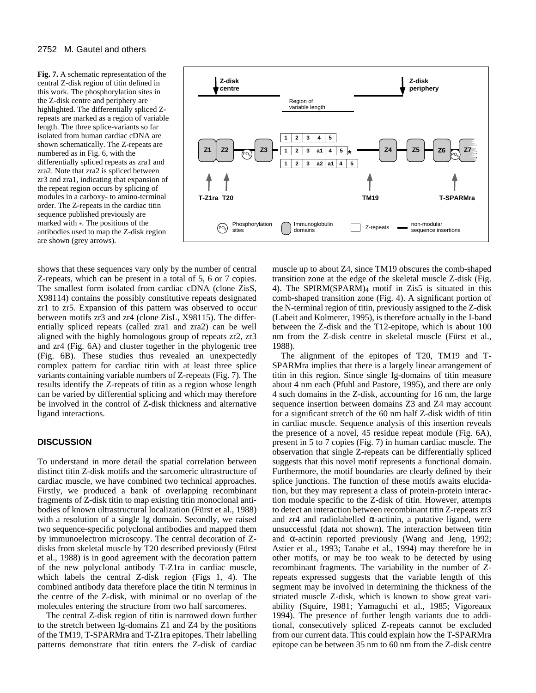#### 2752 M. Gautel and others

**Fig. 7.** A schematic representation of the central Z-disk region of titin defined in this work. The phosphorylation sites in the Z-disk centre and periphery are highlighted. The differentially spliced Zrepeats are marked as a region of variable length. The three splice-variants so far isolated from human cardiac cDNA are shown schematically. The Z-repeats are numbered as in Fig. 6, with the differentially spliced repeats as zra1 and zra2. Note that zra2 is spliced between zr3 and zra1, indicating that expansion of the repeat region occurs by splicing of modules in a carboxy- to amino-terminal order. The Z-repeats in the cardiac titin sequence published previously are marked with \*. The positions of the antibodies used to map the Z-disk region are shown (grey arrows).



shows that these sequences vary only by the number of central Z-repeats, which can be present in a total of 5, 6 or 7 copies. The smallest form isolated from cardiac cDNA (clone ZisS, X98114) contains the possibly constitutive repeats designated zr1 to zr5. Expansion of this pattern was observed to occur between motifs zr3 and zr4 (clone ZisL, X98115). The differentially spliced repeats (called zra1 and zra2) can be well aligned with the highly homologous group of repeats zr2, zr3 and zr4 (Fig. 6A) and cluster together in the phylogenic tree (Fig. 6B). These studies thus revealed an unexpectedly complex pattern for cardiac titin with at least three splice variants containing variable numbers of Z-repeats (Fig. 7). The results identify the Z-repeats of titin as a region whose length can be varied by differential splicing and which may therefore be involved in the control of Z-disk thickness and alternative ligand interactions.

# **DISCUSSION**

To understand in more detail the spatial correlation between distinct titin Z-disk motifs and the sarcomeric ultrastructure of cardiac muscle, we have combined two technical approaches. Firstly, we produced a bank of overlapping recombinant fragments of Z-disk titin to map existing titin monoclonal antibodies of known ultrastructural localization (Fürst et al., 1988) with a resolution of a single Ig domain. Secondly, we raised two sequence-specific polyclonal antibodies and mapped them by immunoelectron microscopy. The central decoration of Zdisks from skeletal muscle by T20 described previously (Fürst et al., 1988) is in good agreement with the decoration pattern of the new polyclonal antibody T-Z1ra in cardiac muscle, which labels the central Z-disk region (Figs 1, 4). The combined antibody data therefore place the titin N terminus in the centre of the Z-disk, with minimal or no overlap of the molecules entering the structure from two half sarcomeres.

The central Z-disk region of titin is narrowed down further to the stretch between Ig-domains Z1 and Z4 by the positions of the TM19, T-SPARMra and T-Z1ra epitopes. Their labelling patterns demonstrate that titin enters the Z-disk of cardiac

muscle up to about Z4, since TM19 obscures the comb-shaped transition zone at the edge of the skeletal muscle Z-disk (Fig. 4). The SPIRM(SPARM)4 motif in Zis5 is situated in this comb-shaped transition zone (Fig. 4). A significant portion of the N-terminal region of titin, previously assigned to the Z-disk (Labeit and Kolmerer, 1995), is therefore actually in the I-band between the Z-disk and the T12-epitope, which is about 100 nm from the Z-disk centre in skeletal muscle (Fürst et al., 1988).

The alignment of the epitopes of T20, TM19 and T-SPARMra implies that there is a largely linear arrangement of titin in this region. Since single Ig-domains of titin measure about 4 nm each (Pfuhl and Pastore, 1995), and there are only 4 such domains in the Z-disk, accounting for 16 nm, the large sequence insertion between domains Z3 and Z4 may account for a significant stretch of the 60 nm half Z-disk width of titin in cardiac muscle. Sequence analysis of this insertion reveals the presence of a novel, 45 residue repeat module (Fig. 6A), present in 5 to 7 copies (Fig. 7) in human cardiac muscle. The observation that single Z-repeats can be differentially spliced suggests that this novel motif represents a functional domain. Furthermore, the motif boundaries are clearly defined by their splice junctions. The function of these motifs awaits elucidation, but they may represent a class of protein-protein interaction module specific to the Z-disk of titin. However, attempts to detect an interaction between recombinant titin Z-repeats zr3 and zr4 and radiolabelled  $\alpha$ -actinin, a putative ligand, were unsuccessful (data not shown). The interaction between titin and  $\alpha$ -actinin reported previously (Wang and Jeng, 1992; Astier et al., 1993; Tanabe et al., 1994) may therefore be in other motifs, or may be too weak to be detected by using recombinant fragments. The variability in the number of Zrepeats expressed suggests that the variable length of this segment may be involved in determining the thickness of the striated muscle Z-disk, which is known to show great variability (Squire, 1981; Yamaguchi et al., 1985; Vigoreaux 1994). The presence of further length variants due to additional, consecutively spliced Z-repeats cannot be excluded from our current data. This could explain how the T-SPARMra epitope can be between 35 nm to 60 nm from the Z-disk centre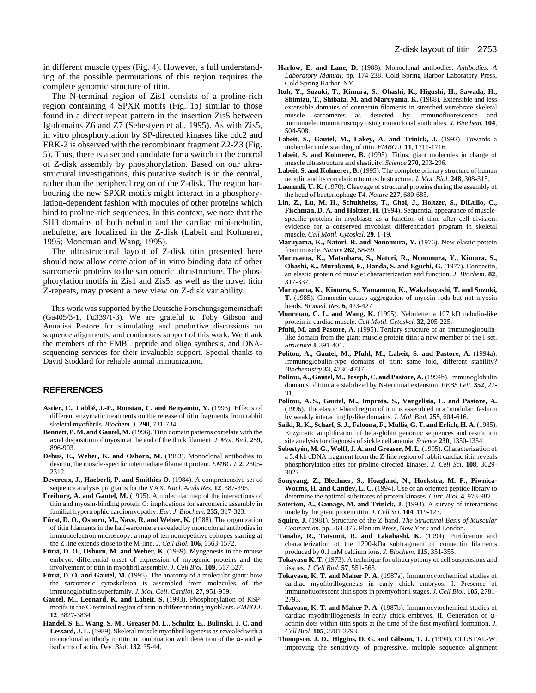in different muscle types (Fig. 4). However, a full understanding of the possible permutations of this region requires the complete genomic structure of titin.

The N-terminal region of Zis1 consists of a proline-rich region containing 4 SPXR motifs (Fig. 1b) similar to those found in a direct repeat pattern in the insertion Zis5 between Ig-domains Z6 and Z7 (Sebestyén et al., 1995). As with Zis5, in vitro phosphorylation by SP-directed kinases like cdc2 and ERK-2 is observed with the recombinant fragment Z2-Z3 (Fig. 5). Thus, there is a second candidate for a switch in the control of Z-disk assembly by phosphorylation. Based on our ultrastructural investigations, this putative switch is in the central, rather than the peripheral region of the Z-disk. The region harbouring the new SPXR motifs might interact in a phosphorylation-dependent fashion with modules of other proteins which bind to proline-rich sequences. In this context, we note that the SH3 domains of both nebulin and the cardiac mini-nebulin, nebulette, are localized in the Z-disk (Labeit and Kolmerer, 1995; Moncman and Wang, 1995).

The ultrastructural layout of Z-disk titin presented here should now allow correlation of in vitro binding data of other sarcomeric proteins to the sarcomeric ultrastructure. The phosphorylation motifs in Zis1 and Zis5, as well as the novel titin Z-repeats, may present a new view on Z-disk variability.

This work was supported by the Deutsche Forschungsgemeinschaft (Ga405/3-1, Fu339/1-3). We are grateful to Toby Gibson and Annalisa Pastore for stimulating and productive discussions on sequence alignments, and continuous support of this work. We thank the members of the EMBL peptide and oligo synthesis, and DNAsequencing services for their invaluable support. Special thanks to David Stoddard for reliable animal immunization.

#### **REFERENCES**

- **Astier, C., Labbé, J.-P., Roustan, C. and Benyamin, Y.** (1993). Effects of different enzymatic treatments on the release of titin fragments from rabbit skeletal myofibrils. *Biochem. J.* **290**, 731-734.
- **Bennett, P. M. and Gautel, M.** (1996). Titin domain patterns correlate with the axial disposition of myosin at the end of the thick filament. *J. Mol. Biol.* **259**, 896-903.
- **Debus, E., Weber, K. and Osborn, M.** (1983). Monoclonal antibodies to desmin, the muscle-specific intermediate filament protein. *EMBO J.* **2**, 2305- 2312.
- **Devereux, J., Haeberli, P. and Smithies O.** (1984). A comprehensive set of sequence analysis programs for the VAX. *Nucl. Acids Res.* **12***,* 387-395.
- **Freiburg, A. and Gautel, M.** (1995). A molecular map of the interactions of titin and myosin-binding protein C: implications for sarcomeric assembly in familial hypertrophic cardiomyopathy. *Eur. J. Biochem.* **235**, 317-323.
- Fürst, D. O., Osborn, M., Nave, R. and Weber, K. (1988). The organization of titin filaments in the half-sarcomere revealed by monoclonal antibodies in immunoelectron microscopy: a map of ten nonrepetitive epitopes starting at the Z line extends close to the M-line. *J. Cell Biol.* **106**, 1563-1572.
- Fürst, D. O., Osborn, M. and Weber, K. (1989). Myogenesis in the mouse embryo: differential onset of expression of myogenic proteins and the involvement of titin in myofibril assembly. *J. Cell Biol.* **109**, 517-527.
- Fürst, D. O. and Gautel, M. (1995). The anatomy of a molecular giant: how the sarcomeric cytoskeleton is assembled from molecules of the immunoglobulin superfamily. *J. Mol. Cell. Cardiol.* **27**, 951-959.
- **Gautel, M., Leonard, K. and Labeit, S.** (1993). Phosphorylation of KSPmotifs in the C-terminal region of titin in differentiating myoblasts. *EMBO J.* **12**, 3827-3834
- **Handel, S. E., Wang, S.-M., Greaser M. L., Schultz, E., Bulinski, J. C. and Lessard, J. L.** (1989). Skeletal muscle myofibrillogenesis as revealed with a monoclonal antibody to titin in combination with detection of the α- and γisoforms of actin. *Dev. Biol.* **132**, 35-44.
- **Harlow, E. and Lane, D.** (1988). Monoclonal antibodies. *Antibodies: A Laboratory Manual*, pp. 174-238. Cold Spring Harbor Laboratory Press, Cold Spring Harbor, NY.
- **Itoh, Y., Suzuki, T., Kimura, S., Ohashi, K., Higushi, H., Sawada, H., Shimizu, T., Shibata, M. and Maruyama, K.** (1988). Extensible and less extensible domains of connectin filaments in stretched vertebrate skeletal muscle sarcomeres as detected by immunofluorescence and immunoelectronmicroscopy using monoclonal antibodies. *J. Biochem.* **104**, 504-508.
- Labeit, S., Gautel, M., Lakey, A. and Trinick, J. (1992). Towards a molecular understanding of titin. *EMBO J.* **11***,* 1711-1716.
- Labeit, S. and Kolmerer, B. (1995). Titins, giant molecules in charge of muscle ultrastructure and elasticity. *Science* **270**, 293-296.
- Labeit, S. and Kolmerer, B. (1995). The complete primary structure of human nebulin and its correlation to muscle structure. *J. Mol. Biol.* **248**, 308-315.
- **Laemmli, U. K.** (1970). Cleavage of structural proteins during the assembly of the head of bacteriophage T4. *Nature* **227***,* 680-685.
- **Lin, Z., Lu, M. H., Schultheiss, T., Choi, J., Holtzer, S., DiLullo, C.,** Fischman, D. A. and Holtzer, H. (1994). Sequential appearance of musclespecific proteins in myoblasts as a function of time after cell division: evidence for a conserved myoblast differentiation program in skeletal muscle. *Cell Motil. Cytoskel.* **29***,* 1-19.
- Maruyama, K., Natori, R. and Nonomura, Y. (1976). New elastic protein from muscle. *Nature* **262**, 58-59.
- **Maruyama, K., Matsubara, S., Natori, R., Nonomura, Y., Kimura, S., Ohashi, K., Murakami, F., Handa, S. and Eguchi, G.** (1977). Connectin, an elastic protein of muscle: characterization and function. *J. Biochem.* **82**, 317-337.
- **Maruyama, K., Kimura, S., Yamamoto, K., Wakabayashi, T. and Suzuki, T.** (1985). Connectin causes aggregation of myosin rods but not myosin heads. *Biomed. Res.* **6**, 423-427
- **Moncman, C. L. and Wang, K.** (1995). Nebulette: a 107 kD nebulin-like protein in cardiac muscle. *Cell Motil. Cytoskel.* **32**, 205-225.
- Pfuhl, M. and Pastore, A. (1995). Tertiary structure of an immunoglobulinlike domain from the giant muscle protein titin: a new member of the I-set. *Structure* **3**, 391-401.
- **Politou, A., Gautel, M., Pfuhl, M., Labeit, S. and Pastore, A.** (1994a). Immunoglobulin-type domains of titin: same fold, different stability? *Biochemistry* **33***,* 4730-4737.
- Politou, A., Gautel, M., Joseph, C. and Pastore, A. (1994b). Immunoglobulin domains of titin are stabilized by N-terminal extension. *FEBS Lett.* **352***,* 27- 31.
- **Politou, A. S., Gautel, M., Improta, S., Vangelisia, L. and Pastore, A.** (1996). The elastic I-band region of titin is assembled in a 'modular' fashion by weakly interacting Ig-like domains. *J. Mol. Biol.* **255**, 604-616.
- **Saiki, R. K., Scharf, S. J., Faloona, F., Mullis, G. T. and Erlich, H. A.** (1985). Enzymatic amplification of beta-globin genomic sequences and restriction site analysis for diagnosis of sickle cell anemia. *Science* **230**, 1350-1354.
- Sebestyén, M. G., Wolff, J. A. and Greaser, M. L. (1995). Characterization of a 5.4 kb cDNA fragment from the Z-line region of rabbit cardiac titin reveals phosphorylation sites for proline-directed kinases. *J. Cell Sci.* **108**, 3029- 3027.
- **Songyang, Z., Blechner, S., Hoagland, N., Hoekstra, M. F., Piwnica-Worms, H. and Cantley, L. C.** (1994). Use of an oriented peptide library to determine the optimal substrates of protein kinases. *Curr. Biol.* **4**, 973-982.
- **Soteriou, A., Gamage, M. and Trinick, J.** (1993). A survey of interactions made by the giant protein titin. *J. Cell Sci.* **104**, 119-123.
- **Squire, J.** (1981). Structure of the Z-band. *The Structural Basis of Muscular Contraction*. pp. 364-375. Plenum Press, New York and London.
- Tanabe, R., Tatsumi, R. and Takahashi, K. (1994). Purification and characterization of the 1200-kDa subfragment of connectin filaments produced by 0.1 mM calcium ions. *J. Biochem.* **115**, 351-355.
- **Tokayasu K. T.** (1973). A technique for ultracryotomy of cell suspensions and tissues. *J. Cell Biol.* **57**, 551-565.
- **Tokayasu, K. T. and Maher P. A.** (1987a). Immunocytochemical studies of cardiac myofibrillogenesis in early chick embryos. I. Presence of immunofluorescent titin spots in premyofibril stages. *J. Cell Biol*. **105**, 2781- 2793.
- **Tokayasu, K. T. and Maher P. A.** (1987b). Immunocytochemical studies of cardiac myofibrillogenesis in early chick embryos. II. Generation of αactinin dots within titin spots at the time of the first myofibril formation. *J. Cell Biol*. **105**, 2781-2793.
- **Thompson, J. D., Higgins, D. G. and Gibson, T. J.** (1994). CLUSTAL-W: improving the sensitivity of progressive, multiple sequence alignment